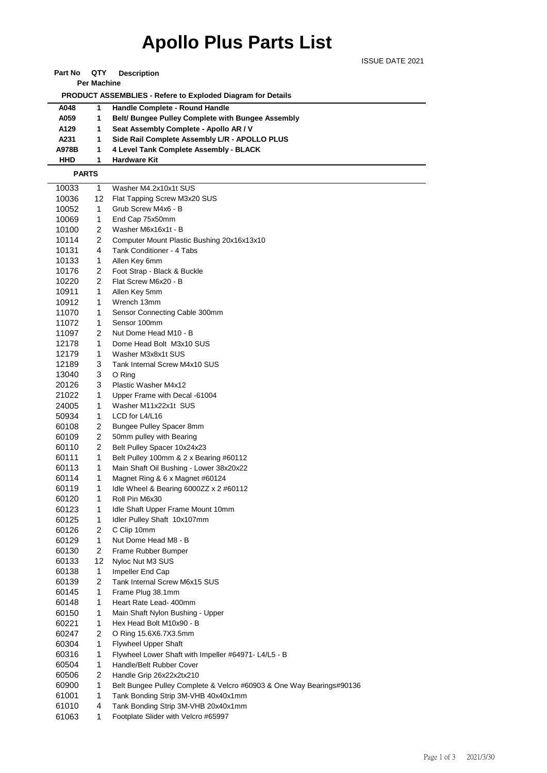## **Apollo Plus Parts List**

| <b>Part No</b> | QTY | <b>Description</b> |
|----------------|-----|--------------------|
|----------------|-----|--------------------|

**Per Machine**

 **PRODUCT ASSEMBLIES - Refere to Exploded Diagram for Details** 

| A048       | Handle Complete - Round Handle                           |
|------------|----------------------------------------------------------|
| A059       | <b>Belt/ Bungee Pulley Complete with Bungee Assembly</b> |
| A129       | Seat Assembly Complete - Apollo AR / V                   |
| A231       | Side Rail Complete Assembly L/R - APOLLO PLUS            |
| A978B      | 4 Level Tank Complete Assembly - BLACK                   |
| <b>HHD</b> | <b>Hardware Kit</b>                                      |

 **PARTS**

| 10033 | 1              | Washer M4.2x10x1t SUS                                                |
|-------|----------------|----------------------------------------------------------------------|
| 10036 | 12             | Flat Tapping Screw M3x20 SUS                                         |
| 10052 | 1              | Grub Screw M4x6 - B                                                  |
| 10069 | 1              | End Cap 75x50mm                                                      |
| 10100 | 2              | Washer M6x16x1t - B                                                  |
| 10114 | 2              | Computer Mount Plastic Bushing 20x16x13x10                           |
| 10131 | 4              | Tank Conditioner - 4 Tabs                                            |
| 10133 | 1              | Allen Key 6mm                                                        |
| 10176 | 2              | Foot Strap - Black & Buckle                                          |
| 10220 | 2              | Flat Screw M6x20 - B                                                 |
| 10911 | 1              | Allen Key 5mm                                                        |
| 10912 | 1              | Wrench 13mm                                                          |
| 11070 | 1              | Sensor Connecting Cable 300mm                                        |
| 11072 | 1              | Sensor 100mm                                                         |
| 11097 | 2              | Nut Dome Head M10 - B                                                |
| 12178 | 1              | Dome Head Bolt M3x10 SUS                                             |
| 12179 | 1              | Washer M3x8x1t SUS                                                   |
| 12189 | 3              | Tank Internal Screw M4x10 SUS                                        |
| 13040 | 3              | O Ring                                                               |
| 20126 | 3              | Plastic Washer M4x12                                                 |
| 21022 | 1              | Upper Frame with Decal -61004                                        |
| 24005 | 1              | Washer M11x22x1t SUS                                                 |
| 50934 | 1              | LCD for L4/L16                                                       |
| 60108 | 2              | Bungee Pulley Spacer 8mm                                             |
| 60109 | 2              | 50mm pulley with Bearing                                             |
| 60110 | 2              | Belt Pulley Spacer 10x24x23                                          |
| 60111 | 1              | Belt Pulley 100mm & 2 x Bearing #60112                               |
| 60113 | 1              | Main Shaft Oil Bushing - Lower 38x20x22                              |
| 60114 | 1              | Magnet Ring & 6 x Magnet #60124                                      |
| 60119 | 1              | Idle Wheel & Bearing 6000ZZ $\times$ 2 #60112                        |
| 60120 | 1              | Roll Pin M6x30                                                       |
| 60123 | 1              | Idle Shaft Upper Frame Mount 10mm                                    |
| 60125 | 1              | Idler Pulley Shaft 10x107mm                                          |
| 60126 | $\overline{c}$ | C Clip 10mm                                                          |
| 60129 | 1              | Nut Dome Head M8 - B                                                 |
| 60130 | 2              | Frame Rubber Bumper                                                  |
| 60133 | 12             | Nyloc Nut M3 SUS                                                     |
| 60138 | 1              | Impeller End Cap                                                     |
| 60139 | 2              | Tank Internal Screw M6x15 SUS                                        |
| 60145 | 1              | Frame Plug 38.1mm                                                    |
| 60148 | 1              | Heart Rate Lead- 400mm                                               |
| 60150 | 1              | Main Shaft Nylon Bushing - Upper                                     |
| 60221 | 1              | Hex Head Bolt M10x90 - B                                             |
| 60247 | 2              | O Ring 15.6X6.7X3.5mm                                                |
| 60304 | 1              | <b>Flywheel Upper Shaft</b>                                          |
| 60316 | 1              |                                                                      |
|       |                | Flywheel Lower Shaft with Impeller #64971- L4/L5 - B                 |
| 60504 | 1              | Handle/Belt Rubber Cover                                             |
| 60506 | 2              | Handle Grip 26x22x2tx210                                             |
| 60900 | 1              | Belt Bungee Pulley Complete & Velcro #60903 & One Way Bearings#90136 |
| 61001 | 1              | Tank Bonding Strip 3M-VHB 40x40x1mm                                  |
| 61010 | 4              | Tank Bonding Strip 3M-VHB 20x40x1mm                                  |
| 61063 | 1              | Footplate Slider with Velcro #65997                                  |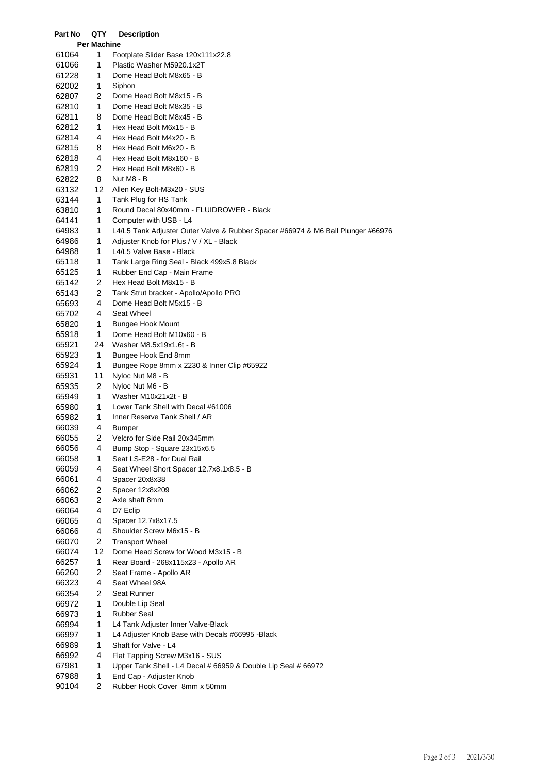| Part No            | QTY            | <b>Description</b>                                                              |  |  |
|--------------------|----------------|---------------------------------------------------------------------------------|--|--|
| <b>Per Machine</b> |                |                                                                                 |  |  |
| 61064              | 1              | Footplate Slider Base 120x111x22.8                                              |  |  |
| 61066              | 1              | Plastic Washer M5920.1x2T                                                       |  |  |
| 61228              | 1              | Dome Head Bolt M8x65 - B                                                        |  |  |
| 62002              | 1              | Siphon                                                                          |  |  |
| 62807              | 2              | Dome Head Bolt M8x15 - B                                                        |  |  |
| 62810              | 1              | Dome Head Bolt M8x35 - B                                                        |  |  |
| 62811              | 8              | Dome Head Bolt M8x45 - B                                                        |  |  |
| 62812              | 1              | Hex Head Bolt M6x15 - B                                                         |  |  |
| 62814              | 4              | Hex Head Bolt M4x20 - B                                                         |  |  |
| 62815              | 8              | Hex Head Bolt M6x20 - B                                                         |  |  |
| 62818              | 4              | Hex Head Bolt M8x160 - B                                                        |  |  |
| 62819              | 2              | Hex Head Bolt M8x60 - B                                                         |  |  |
| 62822              | 8              | Nut M8 - B                                                                      |  |  |
| 63132              | 12             | Allen Key Bolt-M3x20 - SUS                                                      |  |  |
| 63144              | 1              | Tank Plug for HS Tank                                                           |  |  |
| 63810              | 1              | Round Decal 80x40mm - FLUIDROWER - Black                                        |  |  |
| 64141              | 1              | Computer with USB - L4                                                          |  |  |
| 64983              | 1              | L4/L5 Tank Adjuster Outer Valve & Rubber Spacer #66974 & M6 Ball Plunger #66976 |  |  |
| 64986              | 1              | Adjuster Knob for Plus / V / XL - Black                                         |  |  |
| 64988              | 1              | L4/L5 Valve Base - Black                                                        |  |  |
| 65118              | 1              | Tank Large Ring Seal - Black 499x5.8 Black                                      |  |  |
| 65125              | 1              | Rubber End Cap - Main Frame                                                     |  |  |
| 65142              | $\overline{2}$ | Hex Head Bolt M8x15 - B                                                         |  |  |
| 65143              | $\overline{2}$ | Tank Strut bracket - Apollo/Apollo PRO                                          |  |  |
| 65693              | 4              | Dome Head Bolt M5x15 - B                                                        |  |  |
| 65702              | 4              | Seat Wheel                                                                      |  |  |
| 65820              | 1              | Bungee Hook Mount                                                               |  |  |
| 65918              | 1              | Dome Head Bolt M10x60 - B                                                       |  |  |
| 65921              | 24             | Washer M8.5x19x1.6t - B                                                         |  |  |
| 65923              | 1              | Bungee Hook End 8mm                                                             |  |  |
| 65924<br>65931     | 1<br>11        | Bungee Rope 8mm x 2230 & Inner Clip #65922                                      |  |  |
| 65935              | 2              | Nyloc Nut M8 - B                                                                |  |  |
| 65949              | 1              | Nyloc Nut M6 - B<br>Washer M10x21x2t - B                                        |  |  |
| 65980              | 1              | Lower Tank Shell with Decal #61006                                              |  |  |
| 65982              | 1              | Inner Reserve Tank Shell / AR                                                   |  |  |
| 66039              | 4              | Bumper                                                                          |  |  |
| 66055              | 2              | Velcro for Side Rail 20x345mm                                                   |  |  |
| 66056              | 4              | Bump Stop - Square 23x15x6.5                                                    |  |  |
| 66058              | 1              | Seat LS-E28 - for Dual Rail                                                     |  |  |
| 66059              | 4              | Seat Wheel Short Spacer 12.7x8.1x8.5 - B                                        |  |  |
| 66061              | 4              | Spacer 20x8x38                                                                  |  |  |
| 66062              | 2              | Spacer 12x8x209                                                                 |  |  |
| 66063              | 2              | Axle shaft 8mm                                                                  |  |  |
| 66064              | 4              | D7 Eclip                                                                        |  |  |
| 66065              | 4              | Spacer 12.7x8x17.5                                                              |  |  |
| 66066              | 4              | Shoulder Screw M6x15 - B                                                        |  |  |
| 66070              | 2              | <b>Transport Wheel</b>                                                          |  |  |
| 66074              | 12             | Dome Head Screw for Wood M3x15 - B                                              |  |  |
| 66257              | 1              | Rear Board - 268x115x23 - Apollo AR                                             |  |  |
| 66260              | 2              | Seat Frame - Apollo AR                                                          |  |  |
| 66323              | 4              | Seat Wheel 98A                                                                  |  |  |
| 66354              | 2              | Seat Runner                                                                     |  |  |
| 66972              | 1              | Double Lip Seal                                                                 |  |  |
| 66973              | 1              | Rubber Seal                                                                     |  |  |
| 66994              | 1              | L4 Tank Adjuster Inner Valve-Black                                              |  |  |
| 66997              | 1              | L4 Adjuster Knob Base with Decals #66995 - Black                                |  |  |
| 66989              | 1              | Shaft for Valve - L4                                                            |  |  |
| 66992              | 4              | Flat Tapping Screw M3x16 - SUS                                                  |  |  |
| 67981              | 1              | Upper Tank Shell - L4 Decal # 66959 & Double Lip Seal # 66972                   |  |  |
| 67988              | 1              | End Cap - Adjuster Knob                                                         |  |  |
| 90104              | $\overline{2}$ | Rubber Hook Cover 8mm x 50mm                                                    |  |  |